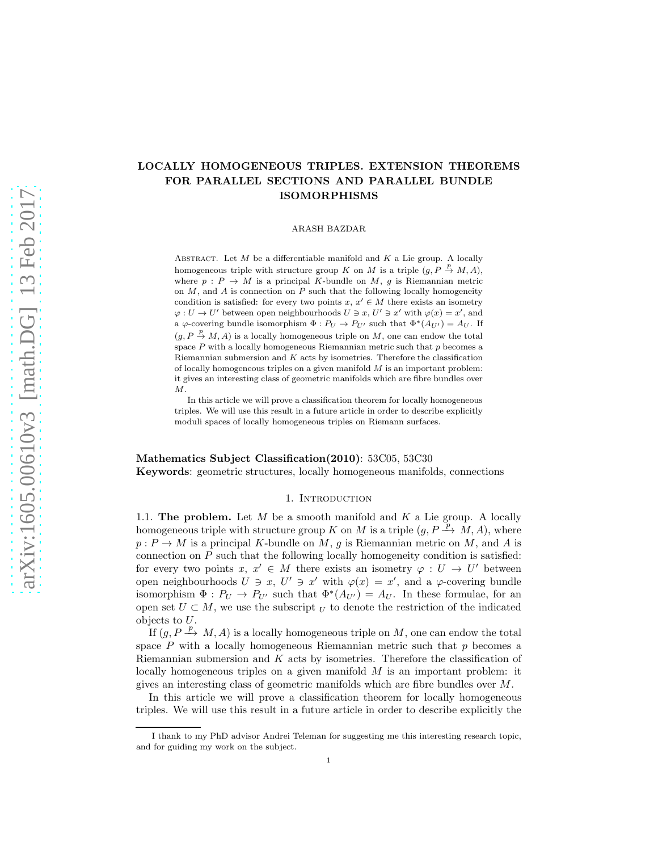# LOCALLY HOMOGENEOUS TRIPLES. EXTENSION THEOREMS FOR PARALLEL SECTIONS AND PARALLEL BUNDLE ISOMORPHISMS

ARASH BAZDAR

ABSTRACT. Let  $M$  be a differentiable manifold and  $K$  a Lie group. A locally homogeneous triple with structure group K on M is a triple  $(g, P \stackrel{p}{\rightarrow} M, A)$ , where  $p : P \to M$  is a principal K-bundle on M, q is Riemannian metric on  $M$ , and  $A$  is connection on  $P$  such that the following locally homogeneity condition is satisfied: for every two points  $x, x' \in M$  there exists an isometry  $\varphi: U \to U'$  between open neighbourhoods  $U \ni x, U' \ni x'$  with  $\varphi(x) = x'$ , and a  $\varphi$ -covering bundle isomorphism  $\Phi: P_U \to P_{U'}$  such that  $\Phi^*(A_{U'}) = A_U$ . If  $(g, P \stackrel{p}{\rightarrow} M, A)$  is a locally homogeneous triple on M, one can endow the total space  $P$  with a locally homogeneous Riemannian metric such that  $p$  becomes a Riemannian submersion and  $K$  acts by isometries. Therefore the classification of locally homogeneous triples on a given manifold  $M$  is an important problem: it gives an interesting class of geometric manifolds which are fibre bundles over  $\cal M$  .

In this article we will prove a classification theorem for locally homogeneous triples. We will use this result in a future article in order to describe explicitly moduli spaces of locally homogeneous triples on Riemann surfaces.

Mathematics Subject Classification(2010): 53C05, 53C30 Keywords: geometric structures, locally homogeneous manifolds, connections

## 1. INTRODUCTION

1.1. The problem. Let  $M$  be a smooth manifold and  $K$  a Lie group. A locally homogeneous triple with structure group K on M is a triple  $(g, P \stackrel{\gamma}{\rightarrow} M, A)$ , where  $p: P \to M$  is a principal K-bundle on M, g is Riemannian metric on M, and A is connection on P such that the following locally homogeneity condition is satisfied: for every two points  $x, x' \in M$  there exists an isometry  $\varphi : U \to U'$  between open neighbourhoods  $U \ni x, U' \ni x'$  with  $\varphi(x) = x'$ , and a  $\varphi$ -covering bundle isomorphism  $\Phi: P_U \to P_{U'}$  such that  $\Phi^*(A_{U'}) = A_U$ . In these formulae, for an open set  $U \subset M$ , we use the subscript  $U$  to denote the restriction of the indicated objects to U.

If  $(g, P \xrightarrow{p} M, A)$  is a locally homogeneous triple on M, one can endow the total space  $P$  with a locally homogeneous Riemannian metric such that  $p$  becomes a Riemannian submersion and  $K$  acts by isometries. Therefore the classification of locally homogeneous triples on a given manifold  $M$  is an important problem: it gives an interesting class of geometric manifolds which are fibre bundles over M.

In this article we will prove a classification theorem for locally homogeneous triples. We will use this result in a future article in order to describe explicitly the

I thank to my PhD advisor Andrei Teleman for suggesting me this interesting research topic, and for guiding my work on the subject.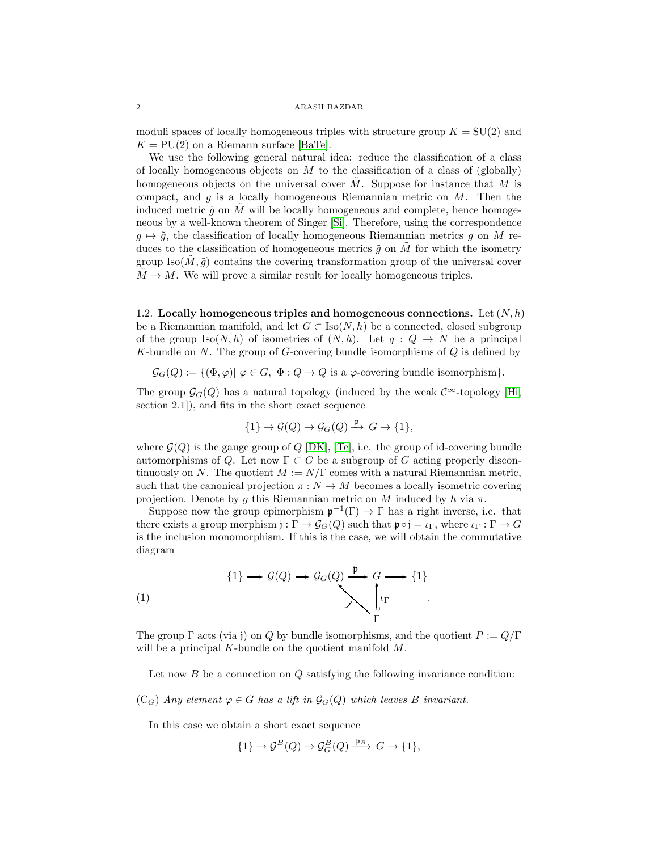moduli spaces of locally homogeneous triples with structure group  $K = SU(2)$  and  $K = PU(2)$  on a Riemann surface [\[BaTe\]](#page-15-0).

We use the following general natural idea: reduce the classification of a class of locally homogeneous objects on  $M$  to the classification of a class of (globally) homogeneous objects on the universal cover  $M$ . Suppose for instance that  $M$  is compact, and  $q$  is a locally homogeneous Riemannian metric on  $M$ . Then the induced metric  $\tilde{g}$  on M will be locally homogeneous and complete, hence homogeneous by a well-known theorem of Singer [\[Si\]](#page-15-1). Therefore, using the correspondence  $g \mapsto \tilde{g}$ , the classification of locally homogeneous Riemannian metrics g on M reduces to the classification of homogeneous metrics  $\tilde{g}$  on M for which the isometry group  $\text{Iso}(M, \tilde{g})$  contains the covering transformation group of the universal cover  $M \to M$ . We will prove a similar result for locally homogeneous triples.

<span id="page-1-0"></span>1.2. Locally homogeneous triples and homogeneous connections. Let  $(N, h)$ be a Riemannian manifold, and let  $G \subset \text{Iso}(N, h)$  be a connected, closed subgroup of the group Iso(N, h) of isometries of  $(N, h)$ . Let  $q: Q \to N$  be a principal K-bundle on  $N$ . The group of G-covering bundle isomorphisms of  $Q$  is defined by

 $\mathcal{G}_G(Q) := \{ (\Phi, \varphi) | \varphi \in G, \Phi : Q \to Q \text{ is a } \varphi \text{-covering bundle isomorphism} \}.$ 

The group  $\mathcal{G}_G(Q)$  has a natural topology (induced by the weak  $\mathcal{C}^{\infty}$ -topology [\[Hi,](#page-15-2) section 2.1]), and fits in the short exact sequence

$$
\{1\} \to \mathcal{G}(Q) \to \mathcal{G}_G(Q) \xrightarrow{\mathfrak{p}} G \to \{1\},\
$$

where  $\mathcal{G}(Q)$  is the gauge group of Q [\[DK\]](#page-15-3), [\[Te\]](#page-15-4), i.e. the group of id-covering bundle automorphisms of Q. Let now  $\Gamma \subset G$  be a subgroup of G acting properly discontinuously on N. The quotient  $M := N/\Gamma$  comes with a natural Riemannian metric, such that the canonical projection  $\pi : N \to M$  becomes a locally isometric covering projection. Denote by q this Riemannian metric on M induced by h via  $\pi$ .

Suppose now the group epimorphism  $\mathfrak{p}^{-1}(\Gamma) \to \Gamma$  has a right inverse, i.e. that there exists a group morphism  $j : \Gamma \to \mathcal{G}_G(Q)$  such that  $\mathfrak{p} \circ j = \iota_{\Gamma}$ , where  $\iota_{\Gamma} : \Gamma \to G$ is the inclusion monomorphism. If this is the case, we will obtain the commutative diagram

(1) 
$$
\{1\} \longrightarrow \mathcal{G}(Q) \longrightarrow \mathcal{G}_G(Q) \xrightarrow{\mathfrak{p}} G \longrightarrow \{1\}
$$

$$
\downarrow \qquad \qquad \downarrow \qquad \downarrow \qquad \downarrow
$$

$$
\downarrow \qquad \downarrow \qquad \downarrow \qquad \downarrow
$$

The group  $\Gamma$  acts (via j) on Q by bundle isomorphisms, and the quotient  $P := Q/\Gamma$ will be a principal  $K$ -bundle on the quotient manifold  $M$ .

Let now  $B$  be a connection on  $Q$  satisfying the following invariance condition:

 $(C_G)$  Any element  $\varphi \in G$  has a lift in  $\mathcal{G}_G(Q)$  which leaves B invariant.

In this case we obtain a short exact sequence

$$
\{1\} \to \mathcal{G}^B(Q) \to \mathcal{G}_G^B(Q) \xrightarrow{\mathfrak{p}_B} G \to \{1\},
$$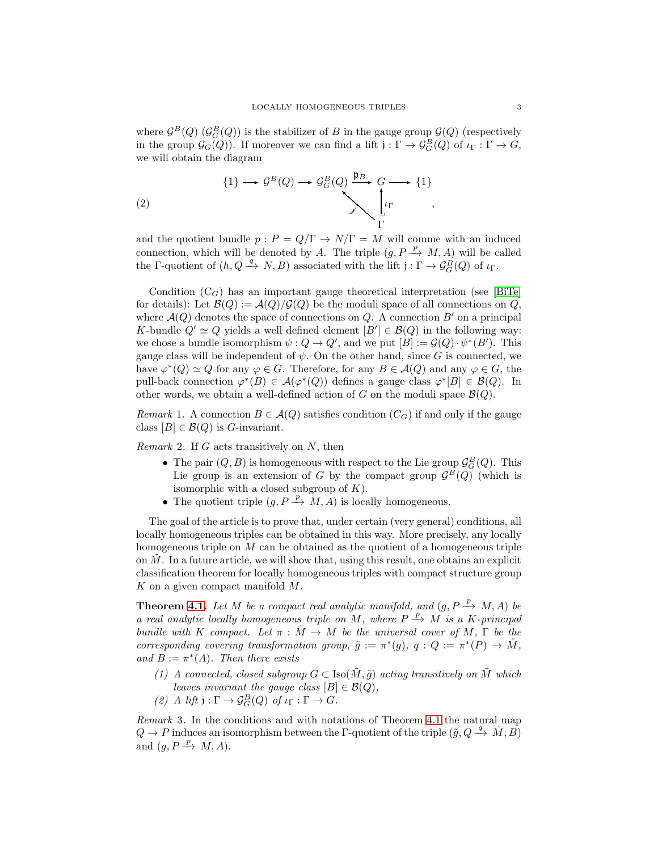where  $\mathcal{G}^B(Q)$  ( $\mathcal{G}_G^B(Q)$ ) is the stabilizer of B in the gauge group  $\mathcal{G}(Q)$  (respectively in the group  $\mathcal{G}_G(Q)$ ). If moreover we can find a lift  $j: \Gamma \to \mathcal{G}_G^B(Q)$  of  $\iota_{\Gamma}: \Gamma \to G$ , we will obtain the diagram

(2) 
$$
\begin{array}{ccc}\n\{1\} & \longrightarrow & \mathcal{G}^B(Q) \longrightarrow & \mathcal{G}^B_G(Q) \xrightarrow{\mathfrak{p}_B} & G \longrightarrow \{1\} \\
& & & \searrow \searrow & \downarrow \iota_{\Gamma} \\
& & & \searrow & \searrow \\
& & & \searrow & \searrow \\
& & & \searrow & \searrow\n\end{array}
$$

and the quotient bundle  $p : P = Q/\Gamma \rightarrow N/\Gamma = M$  will comme with an induced connection, which will be denoted by A. The triple  $(g, P \xrightarrow{p} M, A)$  will be called the  $\Gamma$ -quotient of  $(h, Q \xrightarrow{q} N, B)$  associated with the lift  $j: \Gamma \to \mathcal{G}_G^B(Q)$  of  $\iota_{\Gamma}$ .

Condition  $(C_G)$  has an important gauge theoretical interpretation (see [\[BiTe\]](#page-15-5) for details): Let  $\mathcal{B}(Q) := \mathcal{A}(Q)/\mathcal{G}(Q)$  be the moduli space of all connections on Q, where  $\mathcal{A}(Q)$  denotes the space of connections on Q. A connection B' on a principal K-bundle  $Q' \simeq Q$  yields a well defined element  $[B'] \in \mathcal{B}(Q)$  in the following way: we chose a bundle isomorphism  $\psi: Q \to Q'$ , and we put  $[B] := \mathcal{G}(Q) \cdot \psi^*(B')$ . This gauge class will be independent of  $\psi$ . On the other hand, since G is connected, we have  $\varphi^*(Q) \simeq Q$  for any  $\varphi \in G$ . Therefore, for any  $B \in \mathcal{A}(Q)$  and any  $\varphi \in G$ , the pull-back connection  $\varphi^*(B) \in \mathcal{A}(\varphi^*(Q))$  defines a gauge class  $\varphi^*[B] \in \mathcal{B}(Q)$ . In other words, we obtain a well-defined action of G on the moduli space  $\mathcal{B}(Q)$ .

Remark 1. A connection  $B \in \mathcal{A}(Q)$  satisfies condition  $(C_G)$  if and only if the gauge class  $[B] \in \mathcal{B}(Q)$  is *G*-invariant.

Remark 2. If  $G$  acts transitively on  $N$ , then

- The pair  $(Q, B)$  is homogeneous with respect to the Lie group  $\mathcal{G}_G^B(Q)$ . This Lie group is an extension of G by the compact group  $\mathcal{G}^B(Q)$  (which is isomorphic with a closed subgroup of  $K$ ).
- The quotient triple  $(g, P \xrightarrow{p} M, A)$  is locally homogeneous.

The goal of the article is to prove that, under certain (very general) conditions, all locally homogeneous triples can be obtained in this way. More precisely, any locally homogeneous triple on  $M$  can be obtained as the quotient of a homogeneous triple on  $M$ . In a future article, we will show that, using this result, one obtains an explicit classification theorem for locally homogeneous triples with compact structure group K on a given compact manifold M.

**Theorem [4.1.](#page-7-0)** Let M be a compact real analytic manifold, and  $(g, P \xrightarrow{p} M, A)$  be a real analytic locally homogeneous triple on M, where  $P \stackrel{p}{\rightarrow} M$  is a K-principal bundle with K compact. Let  $\pi : \tilde{M} \to M$  be the universal cover of M,  $\Gamma$  be the corresponding covering transformation group,  $\tilde{g} := \pi^*(g)$ ,  $q : Q := \pi^*(P) \to \tilde{M}$ , and  $B := \pi^*(A)$ . Then there exists

- (1) A connected, closed subgroup  $G \subset \text{Iso}(\tilde{M}, \tilde{g})$  acting transitively on  $\tilde{M}$  which leaves invariant the gauge class  $[B] \in \mathcal{B}(Q)$ ,
- (2) A lift  $j : \Gamma \to \mathcal{G}_G^B(Q)$  of  $\iota_{\Gamma} : \Gamma \to G$ .

Remark 3. In the conditions and with notations of Theorem [4.1](#page-7-0) the natural map  $Q \to P$  induces an isomorphism between the Γ-quotient of the triple  $(\tilde{g}, Q \stackrel{q}{\to} \tilde{M}, B)$ and  $(g, P \xrightarrow{p} M, A)$ .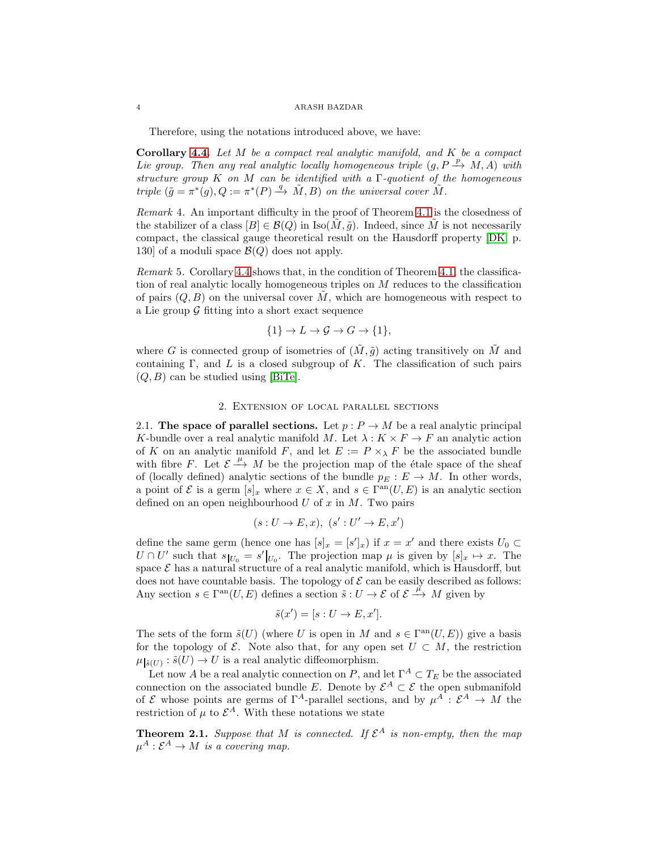Therefore, using the notations introduced above, we have:

Corollary [4.4.](#page-10-0) Let  $M$  be a compact real analytic manifold, and  $K$  be a compact Lie group. Then any real analytic locally homogeneous triple  $(g, P \xrightarrow{p} M, A)$  with structure group K on M can be identified with a  $\Gamma$ -quotient of the homogeneous triple  $(\tilde{g} = \pi^*(g), Q := \pi^*(P) \stackrel{q}{\longrightarrow} \tilde{M}, B)$  on the universal cover  $\tilde{M}$ .

Remark 4. An important difficulty in the proof of Theorem [4.1](#page-7-0) is the closedness of the stabilizer of a class  $[B] \in \mathcal{B}(Q)$  in Iso $(M, \tilde{g})$ . Indeed, since M is not necessarily compact, the classical gauge theoretical result on the Hausdorff property [\[DK,](#page-15-3) p. 130] of a moduli space  $\mathcal{B}(Q)$  does not apply.

Remark 5. Corollary [4.4](#page-10-0) shows that, in the condition of Theorem [4.1,](#page-7-0) the classification of real analytic locally homogeneous triples on  $M$  reduces to the classification of pairs  $(Q, B)$  on the universal cover M, which are homogeneous with respect to a Lie group  $\mathcal G$  fitting into a short exact sequence

$$
\{1\} \to L \to \mathcal{G} \to G \to \{1\},
$$

where G is connected group of isometries of  $(\tilde{M}, \tilde{q})$  acting transitively on  $\tilde{M}$  and containing Γ, and L is a closed subgroup of K. The classification of such pairs  $(Q, B)$  can be studied using [\[BiTe\]](#page-15-5).

## 2. Extension of local parallel sections

2.1. The space of parallel sections. Let  $p : P \to M$  be a real analytic principal K-bundle over a real analytic manifold M. Let  $\lambda : K \times F \to F$  an analytic action of K on an analytic manifold F, and let  $E := P \times_{\lambda} F$  be the associated bundle with fibre F. Let  $\mathcal{E} \stackrel{\mu}{\longrightarrow} M$  be the projection map of the étale space of the sheaf of (locally defined) analytic sections of the bundle  $p_E : E \to M$ . In other words, a point of  $\mathcal E$  is a germ  $[s]_x$  where  $x \in X$ , and  $s \in \Gamma^{\rm an}(U, E)$  is an analytic section defined on an open neighbourhood  $U$  of  $x$  in  $M$ . Two pairs

$$
(s: U \to E, x), (s': U' \to E, x')
$$

define the same germ (hence one has  $[s]_x = [s']_x$ ) if  $x = x'$  and there exists  $U_0 \subset$  $U \cap U'$  such that  $s_{|U_0} = s'|_{U_0}$ . The projection map  $\mu$  is given by  $[s]_x \mapsto x$ . The space  $\mathcal E$  has a natural structure of a real analytic manifold, which is Hausdorff, but does not have countable basis. The topology of  $\mathcal E$  can be easily described as follows: Any section  $s \in \Gamma^{\rm an}(U, E)$  defines a section  $\tilde{s}: U \to \mathcal{E}$  of  $\mathcal{E} \xrightarrow{\mu} M$  given by

$$
\tilde{s}(x') = [s: U \to E, x'].
$$

The sets of the form  $\tilde{s}(U)$  (where U is open in M and  $s \in \Gamma^{\text{an}}(U, E)$ ) give a basis for the topology of  $\mathcal{E}$ . Note also that, for any open set  $U \subset M$ , the restriction  $\mu_{\vert \tilde{s}(U)} : \tilde{s}(U) \to U$  is a real analytic diffeomorphism.

Let now A be a real analytic connection on P, and let  $\Gamma^A \subset T_E$  be the associated connection on the associated bundle E. Denote by  $\mathcal{E}^A \subset \mathcal{E}$  the open submanifold of  $\mathcal E$  whose points are germs of  $\Gamma^A$ -parallel sections, and by  $\mu^A : \mathcal E^A \to M$  the restriction of  $\mu$  to  $\mathcal{E}^A$ . With these notations we state

<span id="page-3-0"></span>**Theorem 2.1.** Suppose that M is connected. If  $\mathcal{E}^A$  is non-empty, then the map  $\mu^A : \mathcal{E}^A \to M$  is a covering map.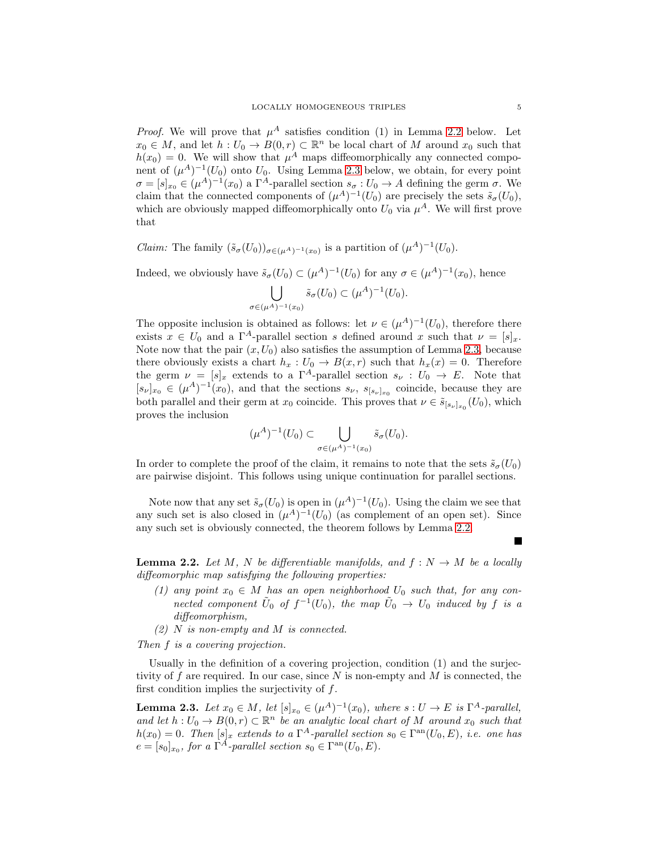*Proof.* We will prove that  $\mu^A$  satisfies condition (1) in Lemma [2.2](#page-4-0) below. Let  $x_0 \in M$ , and let  $h: U_0 \to B(0,r) \subset \mathbb{R}^n$  be local chart of M around  $x_0$  such that  $h(x_0) = 0$ . We will show that  $\mu^A$  maps diffeomorphically any connected component of  $(\mu^{A})^{-1}(U_{0})$  onto  $U_{0}$ . Using Lemma [2.3](#page-4-1) below, we obtain, for every point  $\sigma = [s]_{x_0} \in (\mu^A)^{-1}(x_0)$  a  $\Gamma^A$ -parallel section  $s_\sigma: U_0 \to A$  defining the germ  $\sigma$ . We claim that the connected components of  $(\mu^A)^{-1}(U_0)$  are precisely the sets  $\tilde{s}_{\sigma}(U_0)$ , which are obviously mapped diffeomorphically onto  $U_0$  via  $\mu^A$ . We will first prove that

*Claim:* The family  $(\tilde{s}_{\sigma}(U_0))_{\sigma \in (\mu^A)^{-1}(x_0)}$  is a partition of  $(\mu^A)^{-1}(U_0)$ .

Indeed, we obviously have  $\tilde{s}_{\sigma}(U_0) \subset (\mu^A)^{-1}(U_0)$  for any  $\sigma \in (\mu^A)^{-1}(x_0)$ , hence

$$
\bigcup_{\sigma \in (\mu^A)^{-1}(x_0)} \tilde{s}_{\sigma}(U_0) \subset (\mu^A)^{-1}(U_0).
$$

The opposite inclusion is obtained as follows: let  $\nu \in (\mu^{A})^{-1}(U_{0}),$  therefore there exists  $x \in U_0$  and a  $\Gamma^A$ -parallel section s defined around x such that  $\nu = [s]_x$ . Note now that the pair  $(x, U_0)$  also satisfies the assumption of Lemma [2.3,](#page-4-1) because there obviously exists a chart  $h_x : U_0 \to B(x,r)$  such that  $h_x(x) = 0$ . Therefore the germ  $\nu = [s]_x$  extends to a  $\Gamma^A$ -parallel section  $s_\nu : U_0 \to E$ . Note that  $[s_{\nu}]_{x_0} \in (\mu^A)^{-1}(x_0)$ , and that the sections  $s_{\nu}$ ,  $s_{[s_{\nu}]_{x_0}}$  coincide, because they are both parallel and their germ at  $x_0$  coincide. This proves that  $\nu \in \tilde{s}_{[s_{\nu}]_{x_0}}(U_0)$ , which proves the inclusion

$$
(\mu^A)^{-1}(U_0) \subset \bigcup_{\sigma \in (\mu^A)^{-1}(x_0)} \tilde{s}_{\sigma}(U_0).
$$

In order to complete the proof of the claim, it remains to note that the sets  $\tilde{s}_{\sigma}(U_0)$ are pairwise disjoint. This follows using unique continuation for parallel sections.

Note now that any set  $\tilde{s}_{\sigma}(U_0)$  is open in  $(\mu^A)^{-1}(U_0)$ . Using the claim we see that any such set is also closed in  $(\mu^A)^{-1}(U_0)$  (as complement of an open set). Since any such set is obviously connected, the theorem follows by Lemma [2.2.](#page-4-0)

<span id="page-4-0"></span>**Lemma 2.2.** Let M, N be differentiable manifolds, and  $f: N \to M$  be a locally diffeomorphic map satisfying the following properties:

- (1) any point  $x_0 \in M$  has an open neighborhood  $U_0$  such that, for any connected component  $\tilde{U}_0$  of  $f^{-1}(U_0)$ , the map  $\tilde{U}_0 \rightarrow U_0$  induced by f is a diffeomorphism,
- $(2)$  N is non-empty and M is connected.

Then f is a covering projection.

Usually in the definition of a covering projection, condition (1) and the surjectivity of f are required. In our case, since  $N$  is non-empty and  $M$  is connected, the first condition implies the surjectivity of f.

<span id="page-4-1"></span>**Lemma 2.3.** Let  $x_0 \in M$ , let  $[s]_{x_0} \in (\mu^A)^{-1}(x_0)$ , where  $s: U \to E$  is  $\Gamma^A$ -parallel, and let  $h: U_0 \to B(0,r) \subset \mathbb{R}^n$  be an analytic local chart of M around  $x_0$  such that  $h(x_0) = 0$ . Then  $[s]_x$  extends to a  $\Gamma^A$ -parallel section  $s_0 \in \Gamma^{\rm an}(U_0, E)$ , i.e. one has  $e = [s_0]_{x_0}$ , for a  $\Gamma^A$ -parallel section  $s_0 \in \Gamma^{\text{an}}(U_0, E)$ .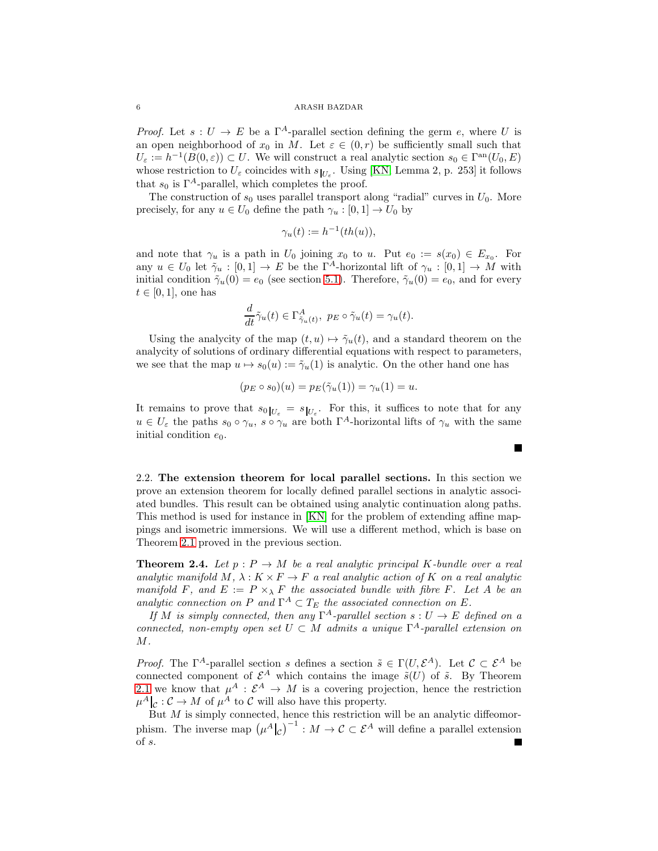*Proof.* Let  $s: U \to E$  be a  $\Gamma^A$ -parallel section defining the germ e, where U is an open neighborhood of  $x_0$  in M. Let  $\varepsilon \in (0,r)$  be sufficiently small such that  $U_{\varepsilon} := h^{-1}(B(0, \varepsilon)) \subset U$ . We will construct a real analytic section  $s_0 \in \Gamma^{\rm an}(U_0, E)$ whose restriction to  $U_{\varepsilon}$  coincides with  $s_{|U_{\varepsilon}}$ . Using [\[KN,](#page-15-6) Lemma 2, p. 253] it follows that  $s_0$  is  $\Gamma^A$ -parallel, which completes the proof.

The construction of  $s_0$  uses parallel transport along "radial" curves in  $U_0$ . More precisely, for any  $u \in U_0$  define the path  $\gamma_u : [0,1] \to U_0$  by

$$
\gamma_u(t) := h^{-1}(th(u)),
$$

and note that  $\gamma_u$  is a path in  $U_0$  joining  $x_0$  to  $u$ . Put  $e_0 := s(x_0) \in E_{x_0}$ . For any  $u \in U_0$  let  $\tilde{\gamma}_u : [0,1] \to E$  be the  $\Gamma^A$ -horizontal lift of  $\gamma_u : [0,1] \to M$  with initial condition  $\tilde{\gamma}_u(0) = e_0$  (see section [5.1\)](#page-10-1). Therefore,  $\tilde{\gamma}_u(0) = e_0$ , and for every  $t \in [0, 1]$ , one has

$$
\frac{d}{dt}\tilde{\gamma}_u(t) \in \Gamma^A_{\tilde{\gamma}_u(t)}, \ p_E \circ \tilde{\gamma}_u(t) = \gamma_u(t).
$$

Using the analycity of the map  $(t, u) \mapsto \tilde{\gamma}_u(t)$ , and a standard theorem on the analycity of solutions of ordinary differential equations with respect to parameters, we see that the map  $u \mapsto s_0(u) := \tilde{\gamma}_u(1)$  is analytic. On the other hand one has

$$
(p_E \circ s_0)(u) = p_E(\tilde{\gamma}_u(1)) = \gamma_u(1) = u.
$$

It remains to prove that  $s_0|_{U_{\varepsilon}} = s|_{U_{\varepsilon}}$ . For this, it suffices to note that for any  $u \in U_{\varepsilon}$  the paths  $s_0 \circ \gamma_u$ ,  $s \circ \gamma_u$  are both  $\Gamma^A$ -horizontal lifts of  $\gamma_u$  with the same initial condition  $e_0$ .

2.2. The extension theorem for local parallel sections. In this section we prove an extension theorem for locally defined parallel sections in analytic associated bundles. This result can be obtained using analytic continuation along paths. This method is used for instance in [\[KN\]](#page-15-6) for the problem of extending affine mappings and isometric immersions. We will use a different method, which is base on Theorem [2.1](#page-3-0) proved in the previous section.

<span id="page-5-0"></span>**Theorem 2.4.** Let  $p : P \to M$  be a real analytic principal K-bundle over a real analytic manifold M,  $\lambda : K \times F \to F$  a real analytic action of K on a real analytic manifold F, and  $E := P \times_{\lambda} F$  the associated bundle with fibre F. Let A be an analytic connection on P and  $\Gamma^A \subset T_E$  the associated connection on E.

If M is simply connected, then any  $\Gamma^A$ -parallel section  $s: U \to E$  defined on a connected, non-empty open set  $U \subset M$  admits a unique  $\Gamma^A$ -parallel extension on  $M$ .

*Proof.* The  $\Gamma^A$ -parallel section s defines a section  $\tilde{s} \in \Gamma(U, \mathcal{E}^A)$ . Let  $\mathcal{C} \subset \mathcal{E}^A$  be connected component of  $\mathcal{E}^A$  which contains the image  $\tilde{s}(U)$  of  $\tilde{s}$ . By Theorem [2.1](#page-3-0) we know that  $\mu^A : \mathcal{E}^A \to M$  is a covering projection, hence the restriction  $\mu^{A}|_{\mathcal{C}} : \mathcal{C} \to M$  of  $\mu^{A}$  to  $\mathcal{C}$  will also have this property.

But  $M$  is simply connected, hence this restriction will be an analytic diffeomorphism. The inverse map  $(\mu^A|_c)^{-1}$ :  $M \to \mathcal{C} \subset \mathcal{E}^A$  will define a parallel extension of s.Г

$$
\blacksquare
$$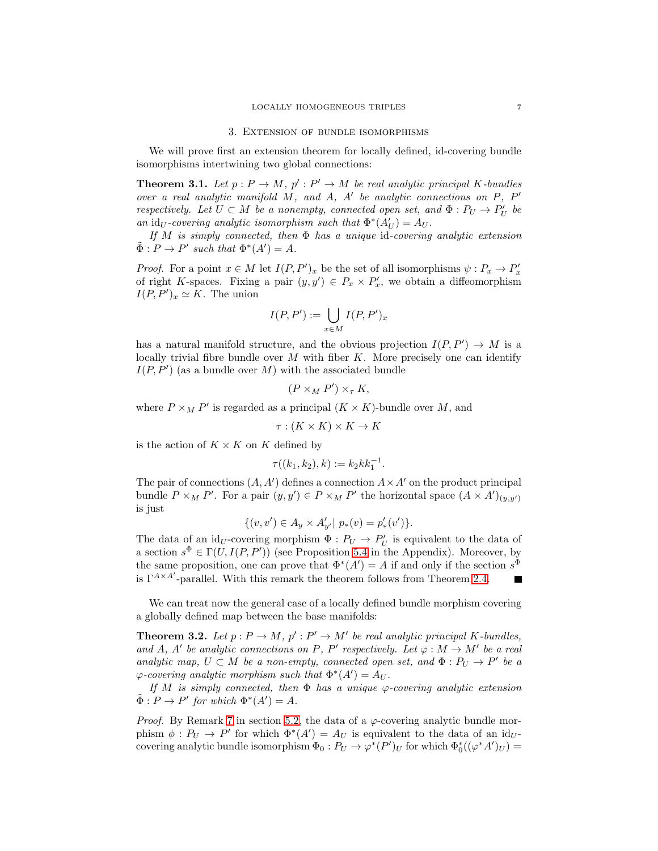### 3. Extension of bundle isomorphisms

<span id="page-6-2"></span>We will prove first an extension theorem for locally defined, id-covering bundle isomorphisms intertwining two global connections:

<span id="page-6-0"></span>**Theorem 3.1.** Let  $p: P \to M$ ,  $p': P' \to M$  be real analytic principal K-bundles over a real analytic manifold M, and A, A' be analytic connections on P, P' respectively. Let  $U \subset M$  be a nonempty, connected open set, and  $\Phi : P_U \to P'_U$  be an  $\mathrm{id}_U$ -covering analytic isomorphism such that  $\Phi^*(A_U') = A_U$ .

If M is simply connected, then  $\Phi$  has a unique id-covering analytic extension  $\tilde{\Phi}: P \to P'$  such that  $\Phi^*(A') = A$ .

*Proof.* For a point  $x \in M$  let  $I(P, P')_x$  be the set of all isomorphisms  $\psi : P_x \to P'_x$ of right K-spaces. Fixing a pair  $(y, y') \in P_x \times P'_x$ , we obtain a diffeomorphism  $I(P, P')_x \simeq K$ . The union

$$
I(P, P') := \bigcup_{x \in M} I(P, P')_x
$$

has a natural manifold structure, and the obvious projection  $I(P, P') \to M$  is a locally trivial fibre bundle over  $M$  with fiber  $K$ . More precisely one can identify  $I(P, P')$  (as a bundle over M) with the associated bundle

$$
(P \times_M P') \times_{\tau} K,
$$

where  $P \times_M P'$  is regarded as a principal  $(K \times K)$ -bundle over M, and

$$
\tau : (K \times K) \times K \to K
$$

is the action of  $K \times K$  on K defined by

$$
\tau((k_1,k_2),k) := k_2 k k_1^{-1}.
$$

The pair of connections  $(A, A')$  defines a connection  $A \times A'$  on the product principal bundle  $P \times_M P'$ . For a pair  $(y, y') \in P \times_M P'$  the horizontal space  $(A \times A')_{(y, y')}$ is just

$$
\{(v, v') \in A_y \times A'_{y'} | p_*(v) = p'_*(v')\}.
$$

The data of an id<sub>U</sub>-covering morphism  $\Phi: P_U \to P'_U$  is equivalent to the data of a section  $s^{\Phi} \in \Gamma(U, I(P, P'))$  (see Proposition [5.4](#page-14-0) in the Appendix). Moreover, by the same proposition, one can prove that  $\Phi^*(A') = A$  if and only if the section  $s^{\Phi}$ is  $\Gamma^{A \times A'}$ -parallel. With this remark the theorem follows from Theorem [2.4.](#page-5-0)  $\blacksquare$ 

We can treat now the general case of a locally defined bundle morphism covering a globally defined map between the base manifolds:

<span id="page-6-1"></span>**Theorem 3.2.** Let  $p: P \to M$ ,  $p': P' \to M'$  be real analytic principal K-bundles, and A, A' be analytic connections on P, P' respectively. Let  $\varphi : M \to M'$  be a real analytic map,  $U \subset M$  be a non-empty, connected open set, and  $\Phi : P_U \to P'$  be a  $\varphi$ -covering analytic morphism such that  $\Phi^*(A') = A_U$ .

If M is simply connected, then  $\Phi$  has a unique  $\varphi$ -covering analytic extension  $\tilde{\Phi}: P \to P'$  for which  $\Phi^*(A') = A$ .

*Proof.* By Remark [7](#page-13-0) in section [5.2,](#page-12-0) the data of a  $\varphi$ -covering analytic bundle morphism  $\phi : P_U \to P'$  for which  $\Phi^*(A') = A_U$  is equivalent to the data of an id<sub>U</sub>covering analytic bundle isomorphism  $\Phi_0: P_U \to \varphi^*(P')_U$  for which  $\Phi_0^*((\varphi^*A')_U) =$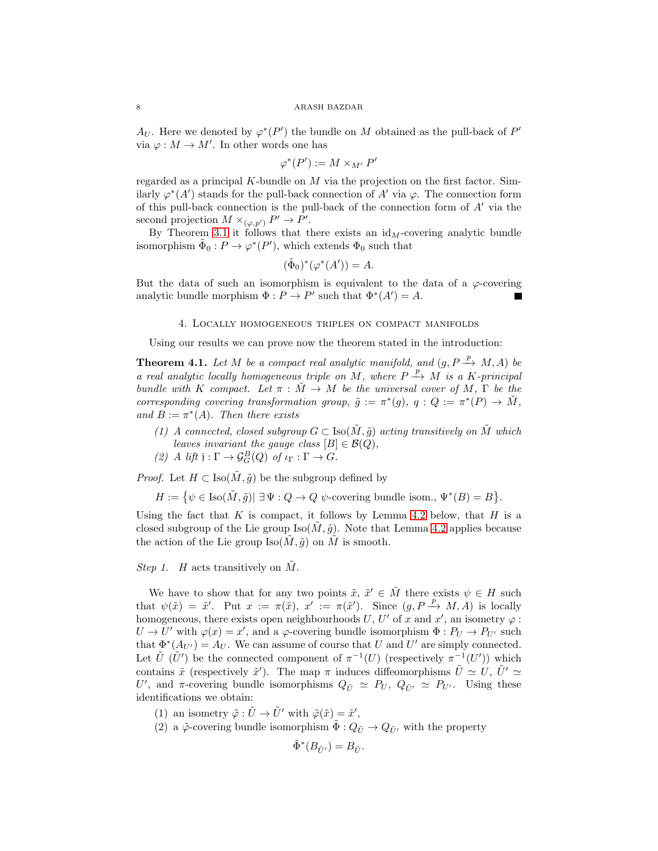$A_U$ . Here we denoted by  $\varphi^*(P')$  the bundle on M obtained as the pull-back of  $P'$ via  $\varphi : M \to M'$ . In other words one has

$$
\varphi^*(P') := M \times_{M'} P'
$$

regarded as a principal K-bundle on M via the projection on the first factor. Similarly  $\varphi^*(A')$  stands for the pull-back connection of A' via  $\varphi$ . The connection form of this pull-back connection is the pull-back of the connection form of  $A'$  via the second projection  $M \times_{(\varphi, p')} P' \to P'$ .

By Theorem [3.1](#page-6-0) it follows that there exists an  $id_M$ -covering analytic bundle isomorphism  $\tilde{\Phi}_0: P \to \varphi^*(P'),$  which extends  $\Phi_0$  such that

$$
(\tilde{\Phi}_0)^*(\varphi^*(A')) = A.
$$

But the data of such an isomorphism is equivalent to the data of a  $\varphi$ -covering analytic bundle morphism  $\Phi: P \to P'$  such that  $\Phi^*(A') = A$ .

## 4. Locally homogeneous triples on compact manifolds

Using our results we can prove now the theorem stated in the introduction:

<span id="page-7-0"></span>**Theorem 4.1.** Let M be a compact real analytic manifold, and  $(g, P \rightarrow M, A)$  be a real analytic locally homogeneous triple on M, where  $P \stackrel{p}{\rightarrow} M$  is a K-principal bundle with K compact. Let  $\pi : \tilde{M} \to M$  be the universal cover of M,  $\Gamma$  be the corresponding covering transformation group,  $\tilde{g} := \pi^*(g)$ ,  $q : Q := \pi^*(P) \to \tilde{M}$ , and  $B := \pi^*(A)$ . Then there exists

- (1) A connected, closed subgroup  $G \subset \text{Iso}(\tilde{M}, \tilde{g})$  acting transitively on  $\tilde{M}$  which leaves invariant the gauge class  $[B] \in \mathcal{B}(Q)$ ,
- (2) A lift  $j : \Gamma \to \mathcal{G}_G^B(Q)$  of  $\iota_{\Gamma} : \Gamma \to G$ .

*Proof.* Let  $H \subset \text{Iso}(\tilde{M}, \tilde{g})$  be the subgroup defined by

 $H := \{ \psi \in \text{Iso}(\tilde{M}, \tilde{g}) | \exists \Psi : Q \rightarrow Q \ \psi\text{-covering bundle isom., } \Psi^*(B) = B \}.$ 

Using the fact that K is compact, it follows by Lemma [4.2](#page-8-0) below, that H is a closed subgroup of the Lie group  $\text{Iso}(M, \tilde{g})$ . Note that Lemma [4.2](#page-8-0) applies because the action of the Lie group  $\text{Iso}(M, \tilde{g})$  on M is smooth.

## Step 1. H acts transitively on  $\tilde{M}$ .

We have to show that for any two points  $\tilde{x}, \tilde{x}' \in \tilde{M}$  there exists  $\psi \in H$  such that  $\psi(\tilde{x}) = \tilde{x}'$ . Put  $x := \pi(\tilde{x})$ ,  $x' := \pi(\tilde{x}')$ . Since  $(g, P \xrightarrow{p} M, A)$  is locally homogeneous, there exists open neighbourhoods U, U' of x and x', an isometry  $\varphi$ :  $U \to U'$  with  $\varphi(x) = x'$ , and a  $\varphi$ -covering bundle isomorphism  $\Phi : P_U \to P_{U'}$  such that  $\Phi^*(A_{U'}) = A_U$ . We can assume of course that U and U' are simply connected. Let  $\tilde{U}(\tilde{U}')$  be the connected component of  $\pi^{-1}(U)$  (respectively  $\pi^{-1}(U')$ ) which contains  $\tilde{x}$  (respectively  $\tilde{x}'$ ). The map  $\pi$  induces diffeomorphisms  $\tilde{U} \simeq U, \tilde{U}' \simeq$ U', and  $\pi$ -covering bundle isomorphisms  $Q_{\tilde{U}} \simeq P_U$ ,  $Q_{\tilde{U}'} \simeq P_{U'}$ . Using these identifications we obtain:

- (1) an isometry  $\tilde{\varphi}: \tilde{U} \to \tilde{U}'$  with  $\tilde{\varphi}(\tilde{x}) = \tilde{x}'$ ,
- (2) a  $\tilde{\varphi}$ -covering bundle isomorphism  $\tilde{\Phi}: Q_{\tilde{U}} \to Q_{\tilde{U}'}$  with the property

$$
\tilde{\Phi}^*(B_{\tilde{U}'})=B_{\tilde{U}}.
$$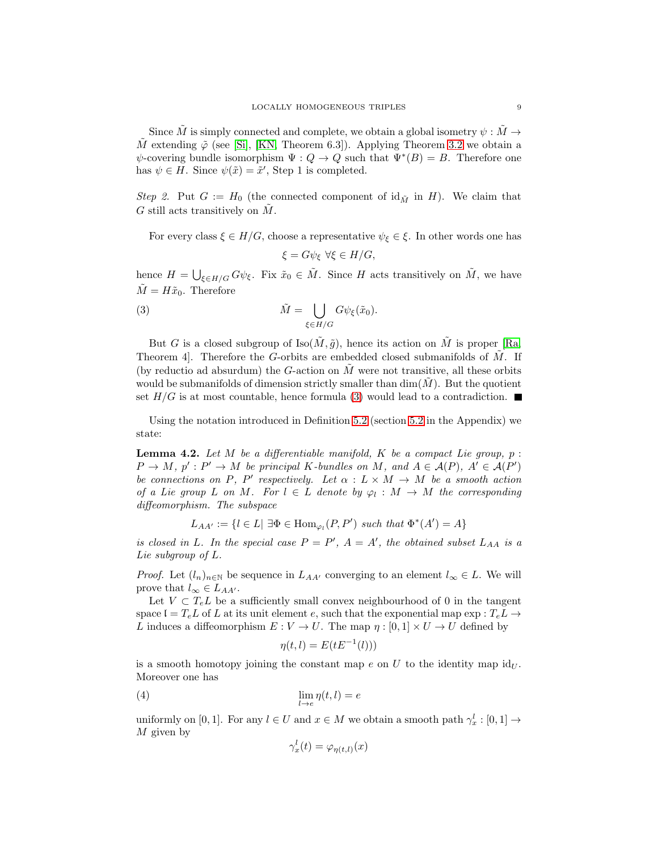Since M is simply connected and complete, we obtain a global isometry  $\psi : M \to$  $\dot{M}$  extending  $\tilde{\varphi}$  (see [\[Si\]](#page-15-1), [\[KN,](#page-15-6) Theorem 6.3]). Applying Theorem [3.2](#page-6-1) we obtain a  $\psi$ -covering bundle isomorphism  $\Psi: Q \to Q$  such that  $\Psi^*(B) = B$ . Therefore one has  $\psi \in H$ . Since  $\psi(\tilde{x}) = \tilde{x}'$ , Step 1 is completed.

Step 2. Put  $G := H_0$  (the connected component of  $\mathrm{id}_{\tilde{M}}$  in H). We claim that G still acts transitively on  $\tilde{M}$ .

For every class  $\xi \in H/G$ , choose a representative  $\psi_{\xi} \in \xi$ . In other words one has  $\xi = G\psi_{\xi} \ \forall \xi \in H/G,$ 

hence  $H = \bigcup_{\xi \in H/G} G\psi_{\xi}$ . Fix  $\tilde{x}_0 \in \tilde{M}$ . Since H acts transitively on  $\tilde{M}$ , we have  $\tilde{M} = H\tilde{x}_0$ . Therefore

<span id="page-8-1"></span>(3) 
$$
\tilde{M} = \bigcup_{\xi \in H/G} G\psi_{\xi}(\tilde{x}_0).
$$

But G is a closed subgroup of  $\text{Iso}(\tilde{M}, \tilde{g})$ , hence its action on  $\tilde{M}$  is proper [\[Ra,](#page-15-7) Theorem 4. Therefore the G-orbits are embedded closed submanifolds of  $M$ . If (by reductio ad absurdum) the  $G$ -action on  $M$  were not transitive, all these orbits would be submanifolds of dimension strictly smaller than  $\dim(\tilde{M})$ . But the quotient set  $H/G$  is at most countable, hence formula [\(3\)](#page-8-1) would lead to a contradiction.

Using the notation introduced in Definition [5.2](#page-12-1) (section [5.2](#page-12-0) in the Appendix) we state:

<span id="page-8-0"></span>**Lemma 4.2.** Let M be a differentiable manifold, K be a compact Lie group,  $p$ :  $P \to M$ ,  $p' : P' \to M$  be principal K-bundles on M, and  $A \in \mathcal{A}(P)$ ,  $A' \in \mathcal{A}(P')$ be connections on P, P' respectively. Let  $\alpha : L \times M \to M$  be a smooth action of a Lie group L on M. For  $l \in L$  denote by  $\varphi_l : M \to M$  the corresponding diffeomorphism. The subspace

$$
L_{AA'} := \{l \in L | \exists \Phi \in \text{Hom}_{\varphi_l}(P, P') \text{ such that } \Phi^*(A') = A\}
$$

is closed in L. In the special case  $P = P'$ ,  $A = A'$ , the obtained subset  $L_{AA}$  is a Lie subgroup of L.

*Proof.* Let  $(l_n)_{n\in\mathbb{N}}$  be sequence in  $L_{AA'}$  converging to an element  $l_\infty \in L$ . We will prove that  $l_{\infty} \in L_{AA'}$ .

Let  $V \subset T_eL$  be a sufficiently small convex neighbourhood of 0 in the tangent space  $\mathfrak{l} = T_e L$  of L at its unit element e, such that the exponential map  $\exp : T_e L \rightarrow$ L induces a diffeomorphism  $E: V \to U$ . The map  $\eta : [0,1] \times U \to U$  defined by

$$
\eta(t,l) = E(tE^{-1}(l)))
$$

is a smooth homotopy joining the constant map e on U to the identity map  $\mathrm{id}_U$ . Moreover one has

(4) 
$$
\lim_{l \to e} \eta(t, l) = e
$$

uniformly on [0, 1]. For any  $l \in U$  and  $x \in M$  we obtain a smooth path  $\gamma_x^l : [0,1] \to$  $M$  given by

<span id="page-8-2"></span>
$$
\gamma_x^l(t) = \varphi_{\eta(t,l)}(x)
$$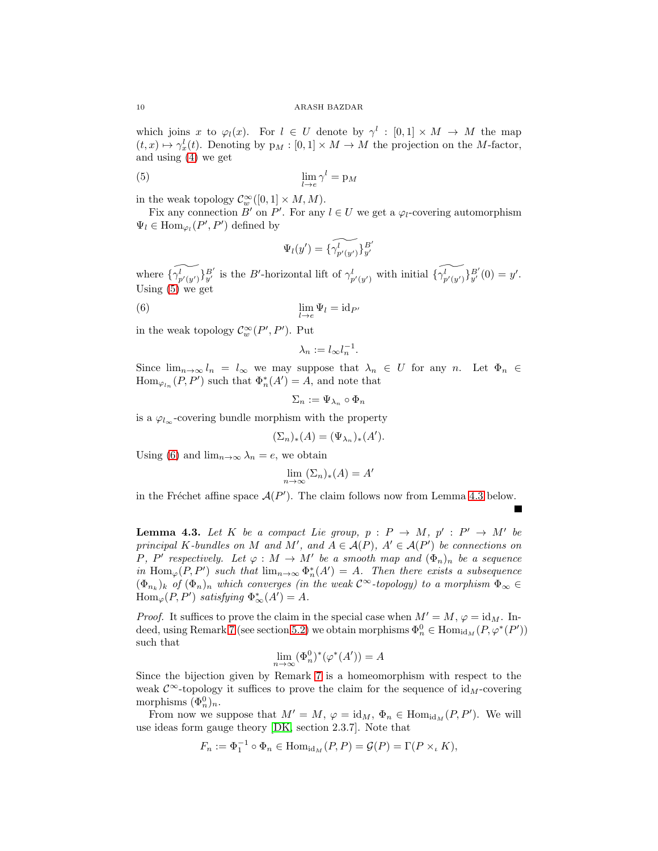which joins x to  $\varphi_l(x)$ . For  $l \in U$  denote by  $\gamma^l : [0,1] \times M \to M$  the map  $(t, x) \mapsto \gamma_x^l(t)$ . Denoting by  $p_M : [0, 1] \times M \to M$  the projection on the M-factor, and using [\(4\)](#page-8-2) we get

$$
\lim_{l \to e} \gamma^l = \mathbf{p}_M
$$

in the weak topology  $\mathcal{C}_w^{\infty}([0,1] \times M, M)$ .

Fix any connection  $\overline{B}'$  on  $P'$ . For any  $l \in U$  we get a  $\varphi_l$ -covering automorphism  $\Psi_l \in \text{Hom}_{\varphi_l}(P',P')$  defined by

<span id="page-9-0"></span>
$$
\Psi_l(y') = \{\widetilde{\gamma_{p'(y')}^l}\}_{y'}^{B'}
$$

where  $\{\widetilde{\gamma_{p'(y')}^{l}}\}_{y'}^{B'}$  is the B'-horizontal lift of  $\gamma_{p'(y')}^{l}$  with initial  $\{\widetilde{\gamma_{p'(y')}^{l}}\}_{y'}^{B'}(0) = y'.$ Using [\(5\)](#page-9-0) we get

(6) 
$$
\lim_{l \to e} \Psi_l = id_{P'}
$$

in the weak topology  $\mathcal{C}_w^{\infty}(P', P')$ . Put

<span id="page-9-1"></span>
$$
\lambda_n := l_{\infty} l_n^{-1}.
$$

Since  $\lim_{n\to\infty} l_n = l_\infty$  we may suppose that  $\lambda_n \in U$  for any n. Let  $\Phi_n \in$  $\text{Hom}_{\varphi_{l_n}}(P,P')$  such that  $\Phi_n^*(A')=A$ , and note that

$$
\Sigma_n := \Psi_{\lambda_n} \circ \Phi_n
$$

is a  $\varphi_{l_{\infty}}$ -covering bundle morphism with the property

$$
(\Sigma_n)_*(A) = (\Psi_{\lambda_n})_*(A').
$$

Using [\(6\)](#page-9-1) and  $\lim_{n\to\infty}\lambda_n=e$ , we obtain

$$
\lim_{n \to \infty} (\Sigma_n)_*(A) = A'
$$

in the Fréchet affine space  $\mathcal{A}(P')$ . The claim follows now from Lemma [4.3](#page-9-2) below.

<span id="page-9-2"></span>**Lemma 4.3.** Let K be a compact Lie group,  $p : P \to M$ ,  $p' : P' \to M'$  be principal K-bundles on M and M', and  $A \in \mathcal{A}(P)$ ,  $A' \in \mathcal{A}(P')$  be connections on P, P' respectively. Let  $\varphi : M \to M'$  be a smooth map and  $(\Phi_n)_n$  be a sequence in Hom<sub> $\varphi(P, P')$ </sub> such that  $\lim_{n\to\infty} \Phi_n^*(A') = A$ . Then there exists a subsequence  $(\Phi_{n_k})_k$  of  $(\Phi_n)_n$  which converges (in the weak  $\mathcal{C}^{\infty}$ -topology) to a morphism  $\Phi_{\infty} \in$  $\operatorname{Hom}_{\varphi}(P,P')$  satisfying  $\Phi_{\infty}^*(A')=A$ .

*Proof.* It suffices to prove the claim in the special case when  $M' = M$ ,  $\varphi = id_M$ . In-deed, using Remark [7](#page-13-0) (see section [5.2\)](#page-12-0) we obtain morphisms  $\Phi_n^0 \in \text{Hom}_{\text{id}_M}(P, \varphi^*(P'))$ such that

$$
\lim_{n \to \infty} (\Phi_n^0)^* (\varphi^*(A')) = A
$$

Since the bijection given by Remark [7](#page-13-0) is a homeomorphism with respect to the weak  $\mathcal{C}^{\infty}$ -topology it suffices to prove the claim for the sequence of id<sub>M</sub>-covering morphisms  $(\Phi_n^0)_n$ .

From now we suppose that  $M' = M$ ,  $\varphi = \mathrm{id}_M$ ,  $\Phi_n \in \mathrm{Hom}_{\mathrm{id}_M}(P, P')$ . We will use ideas form gauge theory [\[DK,](#page-15-3) section 2.3.7]. Note that

$$
F_n := \Phi_1^{-1} \circ \Phi_n \in \text{Hom}_{\text{id}_M}(P, P) = \mathcal{G}(P) = \Gamma(P \times_{\iota} K),
$$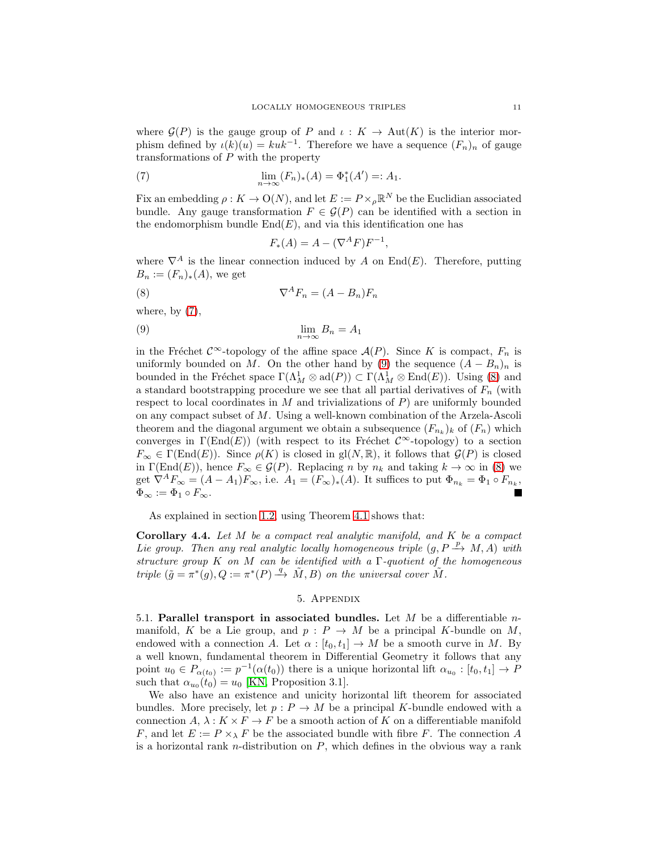where  $\mathcal{G}(P)$  is the gauge group of P and  $\iota: K \to \text{Aut}(K)$  is the interior morphism defined by  $\iota(k)(u) = kuk^{-1}$ . Therefore we have a sequence  $(F_n)_n$  of gauge transformations of P with the property

(7) 
$$
\lim_{n \to \infty} (F_n)_*(A) = \Phi_1^*(A') =: A_1.
$$

Fix an embedding  $\rho: K \to \mathcal{O}(N)$ , and let  $E := P \times_{\rho} \mathbb{R}^N$  be the Euclidian associated bundle. Any gauge transformation  $F \in \mathcal{G}(P)$  can be identified with a section in the endomorphism bundle  $End(E)$ , and via this identification one has

<span id="page-10-4"></span><span id="page-10-3"></span><span id="page-10-2"></span>
$$
F_*(A) = A - (\nabla^A F) F^{-1},
$$

where  $\nabla^A$  is the linear connection induced by A on End(E). Therefore, putting  $B_n := (F_n)_*(A)$ , we get

$$
\nabla^A F_n = (A - B_n) F_n
$$

where, by  $(7)$ ,

$$
\lim_{n \to \infty} B_n = A_1
$$

in the Fréchet  $\mathcal{C}^{\infty}$ -topology of the affine space  $\mathcal{A}(P)$ . Since K is compact,  $F_n$  is uniformly bounded on M. On the other hand by [\(9\)](#page-10-3) the sequence  $(A - B_n)_n$  is bounded in the Fréchet space  $\Gamma(\Lambda_M^1 \otimes \text{ad}(P)) \subset \Gamma(\Lambda_M^1 \otimes \text{End}(E))$ . Using [\(8\)](#page-10-4) and a standard bootstrapping procedure we see that all partial derivatives of  $F_n$  (with respect to local coordinates in  $M$  and trivializations of  $P$ ) are uniformly bounded on any compact subset of M. Using a well-known combination of the Arzela-Ascoli theorem and the diagonal argument we obtain a subsequence  $(F_{n_k})_k$  of  $(F_n)$  which converges in  $\Gamma(\text{End}(E))$  (with respect to its Fréchet  $\mathcal{C}^{\infty}$ -topology) to a section  $F_{\infty} \in \Gamma(\text{End}(E)).$  Since  $\rho(K)$  is closed in gl $(N, \mathbb{R})$ , it follows that  $\mathcal{G}(P)$  is closed in  $\Gamma(\text{End}(E))$ , hence  $F_{\infty} \in \mathcal{G}(P)$ . Replacing n by  $n_k$  and taking  $k \to \infty$  in [\(8\)](#page-10-4) we get  $\nabla^A F_\infty = (A - A_1) F_\infty$ , i.e.  $A_1 = (F_\infty)_*(A)$ . It suffices to put  $\Phi_{n_k} = \Phi_1 \circ F_{n_k}$ ,  $\Phi_{\infty} := \Phi_1 \circ F_{\infty}.$ 

As explained in section [1.2,](#page-1-0) using Theorem [4.1](#page-7-0) shows that:

<span id="page-10-0"></span>**Corollary 4.4.** Let  $M$  be a compact real analytic manifold, and  $K$  be a compact Lie group. Then any real analytic locally homogeneous triple  $(g, P \xrightarrow{p} M, A)$  with structure group K on M can be identified with a  $\Gamma$ -quotient of the homogeneous triple  $(\tilde{g} = \pi^*(g), Q := \pi^*(P) \stackrel{q}{\longrightarrow} \tilde{M}, B)$  on the universal cover  $\tilde{M}$ .

## 5. Appendix

<span id="page-10-1"></span>5.1. Parallel transport in associated bundles. Let  $M$  be a differentiable nmanifold, K be a Lie group, and  $p : P \to M$  be a principal K-bundle on M, endowed with a connection A. Let  $\alpha : [t_0, t_1] \to M$  be a smooth curve in M. By a well known, fundamental theorem in Differential Geometry it follows that any point  $u_0 \in P_{\alpha(t_0)} := p^{-1}(\alpha(t_0))$  there is a unique horizontal lift  $\alpha_{u_0} : [t_0, t_1] \to P$ such that  $\alpha_{u_0}(t_0) = u_0$  [\[KN,](#page-15-6) Proposition 3.1].

We also have an existence and unicity horizontal lift theorem for associated bundles. More precisely, let  $p : P \to M$  be a principal K-bundle endowed with a connection  $A, \lambda : K \times F \to F$  be a smooth action of K on a differentiable manifold F, and let  $E := P \times_{\lambda} F$  be the associated bundle with fibre F. The connection A is a horizontal rank *n*-distribution on  $P$ , which defines in the obvious way a rank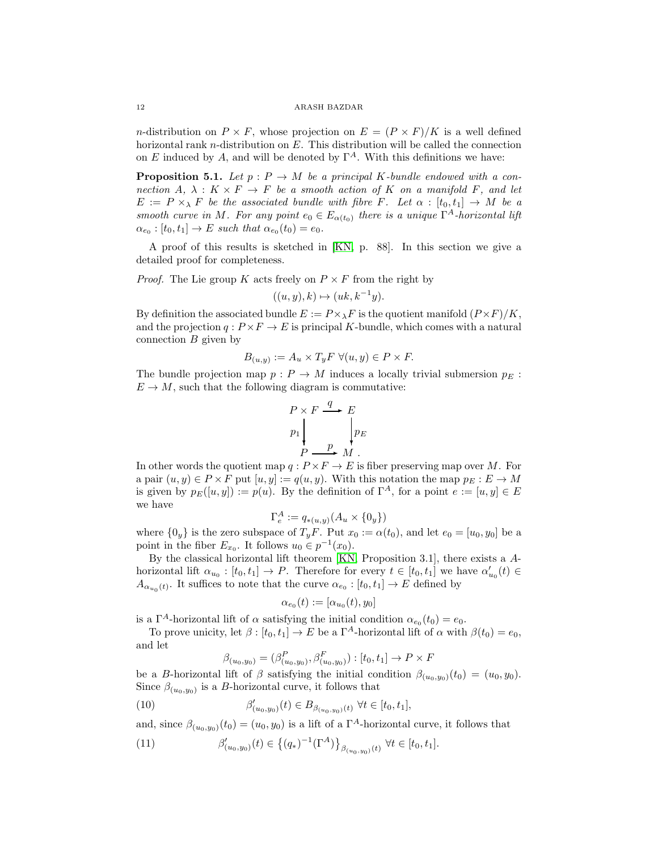*n*-distribution on  $P \times F$ , whose projection on  $E = (P \times F)/K$  is a well defined horizontal rank n-distribution on E. This distribution will be called the connection on E induced by A, and will be denoted by  $\Gamma^A$ . With this definitions we have:

**Proposition 5.1.** Let  $p : P \to M$  be a principal K-bundle endowed with a connection  $A, \lambda : K \times F \to F$  be a smooth action of K on a manifold F, and let  $E := P \times_{\lambda} F$  be the associated bundle with fibre F. Let  $\alpha : [t_0, t_1] \to M$  be a smooth curve in M. For any point  $e_0 \in E_{\alpha(t_0)}$  there is a unique  $\Gamma^A$ -horizontal lift  $\alpha_{e_0} : [t_0, t_1] \to E$  such that  $\alpha_{e_0}(t_0) = e_0$ .

A proof of this results is sketched in [\[KN,](#page-15-6) p. 88]. In this section we give a detailed proof for completeness.

*Proof.* The Lie group K acts freely on  $P \times F$  from the right by

$$
((u, y), k) \mapsto (uk, k^{-1}y).
$$

By definition the associated bundle  $E := P \times_{\lambda} F$  is the quotient manifold  $(P \times F)/K$ , and the projection  $q: P \times F \to E$  is principal K-bundle, which comes with a natural connection  $B$  given by

$$
B_{(u,y)} := A_u \times T_y F \ \forall (u,y) \in P \times F.
$$

The bundle projection map  $p : P \to M$  induces a locally trivial submersion  $p_E$ :  $E \to M$ , such that the following diagram is commutative:

$$
P \times F \xrightarrow{q} E
$$
  
\n
$$
p_1 \downarrow \qquad p_E
$$
  
\n
$$
P \xrightarrow{p} M
$$
.

In other words the quotient map  $q : P \times F \to E$  is fiber preserving map over M. For a pair  $(u, y) \in P \times F$  put  $[u, y] := q(u, y)$ . With this notation the map  $p_E : E \to M$ is given by  $p_E([u, y]) := p(u)$ . By the definition of  $\Gamma^A$ , for a point  $e := [u, y] \in E$ we have

$$
\Gamma_e^A := q_{\ast(u,y)}(A_u \times \{0_y\})
$$

where  $\{0_y\}$  is the zero subspace of  $T_yF$ . Put  $x_0 := \alpha(t_0)$ , and let  $e_0 = [u_0, y_0]$  be a point in the fiber  $E_{x_0}$ . It follows  $u_0 \in p^{-1}(x_0)$ .

By the classical horizontal lift theorem [\[KN,](#page-15-6) Proposition 3.1], there exists a Ahorizontal lift  $\alpha_{u_0} : [t_0, t_1] \to P$ . Therefore for every  $t \in [t_0, t_1]$  we have  $\alpha'_{u_0}(t) \in$  $A_{\alpha_{u_0}(t)}$ . It suffices to note that the curve  $\alpha_{e_0} : [t_0, t_1] \to E$  defined by

$$
\alpha_{e_0}(t):=[\alpha_{u_0}(t),y_0]
$$

is a  $\Gamma^A$ -horizontal lift of  $\alpha$  satisfying the initial condition  $\alpha_{e_0}(t_0) = e_0$ .

To prove unicity, let  $\beta : [t_0, t_1] \to E$  be a  $\Gamma^A$ -horizontal lift of  $\alpha$  with  $\beta(t_0) = e_0$ , and let

<span id="page-11-0"></span>
$$
\beta_{(u_0, y_0)} = (\beta_{(u_0, y_0)}^P, \beta_{(u_0, y_0)}^F) : [t_0, t_1] \to P \times F
$$

be a B-horizontal lift of  $\beta$  satisfying the initial condition  $\beta_{(u_0,y_0)}(t_0) = (u_0,y_0)$ . Since  $\beta_{(u_0, y_0)}$  is a B-horizontal curve, it follows that

(10) 
$$
\beta'_{(u_0, y_0)}(t) \in B_{\beta_{(u_0, y_0)}(t)} \,\,\forall t \in [t_0, t_1],
$$

and, since  $\beta_{(u_0, y_0)}(t_0) = (u_0, y_0)$  is a lift of a  $\Gamma^A$ -horizontal curve, it follows that

<span id="page-11-1"></span>(11) 
$$
\beta'_{(u_0, y_0)}(t) \in \left\{ (q_*)^{-1} (\Gamma^A) \right\}_{\beta_{(u_0, y_0)}(t)} \forall t \in [t_0, t_1].
$$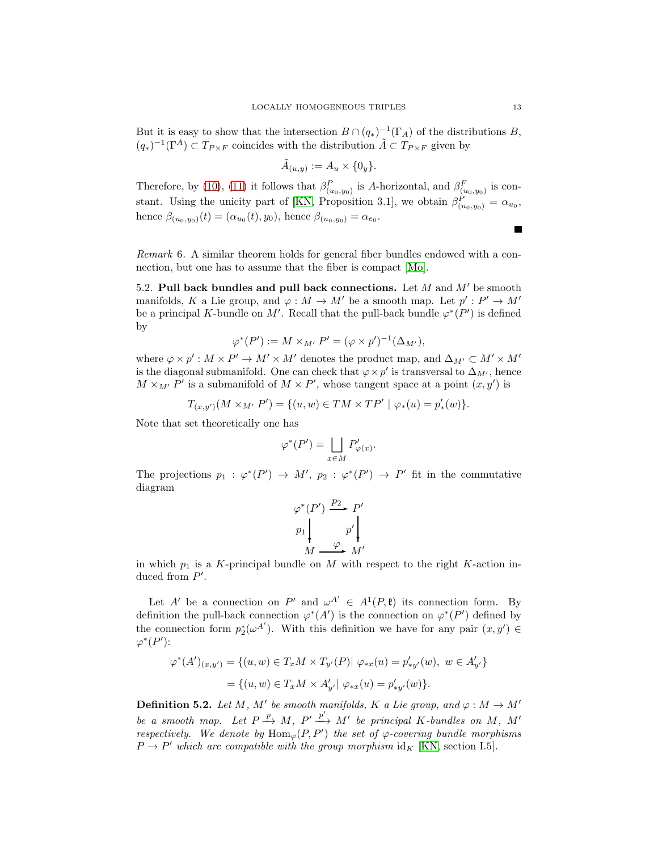But it is easy to show that the intersection  $B \cap (q_*)^{-1}(\Gamma_A)$  of the distributions B,  $(q_*)^{-1}(\Gamma^A) \subset T_{P \times F}$  coincides with the distribution  $\tilde{A} \subset T_{P \times F}$  given by

$$
\tilde{A}_{(u,y)} := A_u \times \{0_y\}.
$$

Therefore, by [\(10\)](#page-11-0), [\(11\)](#page-11-1) it follows that  $\beta_{(u_0,y_0)}^P$  is A-horizontal, and  $\beta_{(u_0,y_0)}^F$  is con-stant. Using the unicity part of [\[KN,](#page-15-6) Proposition 3.1], we obtain  $\beta_{(u_0,y_0)}^P = \alpha_{u_0}$ , hence  $\beta_{(u_0,y_0)}(t) = (\alpha_{u_0}(t), y_0)$ , hence  $\beta_{(u_0,y_0)} = \alpha_{e_0}$ .

Remark 6. A similar theorem holds for general fiber bundles endowed with a connection, but one has to assume that the fiber is compact [\[Mo\]](#page-15-8).

<span id="page-12-0"></span>5.2. Pull back bundles and pull back connections. Let  $M$  and  $M'$  be smooth manifolds, K a Lie group, and  $\varphi: M \to M'$  be a smooth map. Let  $p' : P' \to M'$ be a principal K-bundle on M'. Recall that the pull-back bundle  $\varphi^*(P')$  is defined by

$$
\varphi^*(P') := M \times_{M'} P' = (\varphi \times p')^{-1}(\Delta_{M'}),
$$

where  $\varphi \times p' : M \times P' \to M' \times M'$  denotes the product map, and  $\Delta_{M'} \subset M' \times M'$ is the diagonal submanifold. One can check that  $\varphi \times p'$  is transversal to  $\Delta_{M'}$ , hence  $M \times_{M'} P'$  is a submanifold of  $M \times P'$ , whose tangent space at a point  $(x, y')$  is

$$
T_{(x,y')}(M \times_{M'} P') = \{(u,w) \in TM \times TP' \mid \varphi_*(u) = p'_*(w)\}.
$$

Note that set theoretically one has

$$
\varphi^*(P') = \bigsqcup_{x \in M} P'_{\varphi(x)}.
$$

The projections  $p_1: \varphi^*(P') \to M', p_2: \varphi^*(P') \to P'$  fit in the commutative diagram

$$
\varphi^*(P') \xrightarrow{p_2} P'
$$
  
\n
$$
p_1 \downarrow \qquad p' \downarrow \qquad M \xrightarrow{\varphi} M'
$$

in which  $p_1$  is a K-principal bundle on M with respect to the right K-action induced from  $P'$ .

Let A' be a connection on P' and  $\omega^{A'} \in A^1(P, \mathfrak{k})$  its connection form. By definition the pull-back connection  $\varphi^*(A')$  is the connection on  $\varphi^*(P')$  defined by the connection form  $p_2^*(\omega^{A'})$ . With this definition we have for any pair  $(x, y') \in$  $\varphi^*(P')$ :

$$
\varphi^*(A')_{(x,y')} = \{(u,w) \in T_x M \times T_{y'}(P) | \varphi_{*x}(u) = p'_{*y'}(w), w \in A'_{y'}\}
$$
  
=  $\{(u,w) \in T_x M \times A'_{y'} | \varphi_{*x}(u) = p'_{*y'}(w)\}.$ 

<span id="page-12-1"></span>**Definition 5.2.** Let M, M' be smooth manifolds, K a Lie group, and  $\varphi : M \to M'$ be a smooth map. Let  $P \xrightarrow{p} M$ ,  $P' \xrightarrow{p'} M'$  be principal K-bundles on M, M' respectively. We denote by  $\text{Hom}_{\varphi}(P, P')$  the set of  $\varphi$ -covering bundle morphisms  $P \to P'$  which are compatible with the group morphism id<sub>K</sub> [\[KN,](#page-15-6) section I.5].

 $\blacksquare$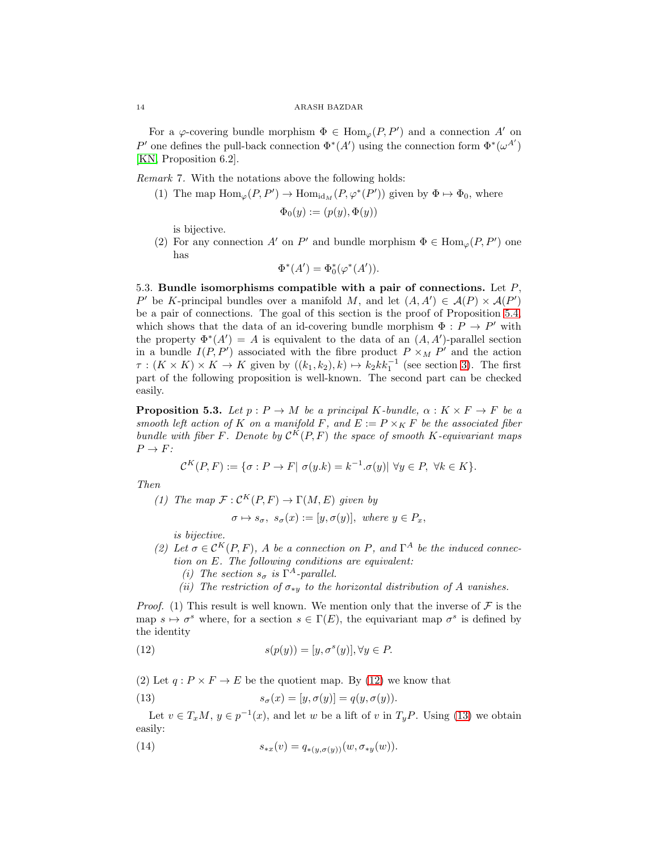For a  $\varphi$ -covering bundle morphism  $\Phi \in \text{Hom}_{\varphi}(P, P')$  and a connection A' on P' one defines the pull-back connection  $\Phi^*(A')$  using the connection form  $\Phi^*(\omega^{A'})$ [\[KN,](#page-15-6) Proposition 6.2].

<span id="page-13-0"></span>Remark 7. With the notations above the following holds:

(1) The map  $\text{Hom}_{\varphi}(P, P') \to \text{Hom}_{\text{id}_M}(P, \varphi^*(P'))$  given by  $\Phi \mapsto \Phi_0$ , where

$$
\Phi_0(y) := (p(y), \Phi(y))
$$

is bijective.

(2) For any connection A' on P' and bundle morphism  $\Phi \in \text{Hom}_{\varphi}(P, P')$  one has

$$
\Phi^*(A') = \Phi_0^*(\varphi^*(A')).
$$

5.3. Bundle isomorphisms compatible with a pair of connections. Let  $P$ , P' be K-principal bundles over a manifold M, and let  $(A, A') \in \mathcal{A}(P) \times \mathcal{A}(P')$ be a pair of connections. The goal of this section is the proof of Proposition [5.4,](#page-14-0) which shows that the data of an id-covering bundle morphism  $\Phi: P \to P'$  with the property  $\Phi^*(A') = A$  is equivalent to the data of an  $(A, A')$ -parallel section in a bundle  $I(P, P')$  associated with the fibre product  $P \times_M P'$  and the action  $\tau : (K \times K) \times K \to K$  given by  $((k_1, k_2), k) \mapsto k_2 k k_1^{-1}$  (see section [3\)](#page-6-2). The first part of the following proposition is well-known. The second part can be checked easily.

<span id="page-13-3"></span>**Proposition 5.3.** Let  $p : P \to M$  be a principal K-bundle,  $\alpha : K \times F \to F$  be a smooth left action of K on a manifold F, and  $E := P \times_K F$  be the associated fiber bundle with fiber F. Denote by  $\mathcal{C}^K(P,F)$  the space of smooth K-equivariant maps  $P \rightarrow F$ :

$$
\mathcal{C}^K(P,F) := \{ \sigma : P \to F | \sigma(y.k) = k^{-1}.\sigma(y) | \forall y \in P, \forall k \in K \}.
$$

Then

(1) The map  $\mathcal{F}: \mathcal{C}^K(P,F) \to \Gamma(M,E)$  given by

$$
\sigma \mapsto s_{\sigma}, \ s_{\sigma}(x) := [y, \sigma(y)], \text{ where } y \in P_x,
$$

is bijective.

- (2) Let  $\sigma \in C^{K}(P, F)$ , A be a connection on P, and  $\Gamma^{A}$  be the induced connection on E. The following conditions are equivalent:
	- (i) The section  $s_{\sigma}$  is  $\Gamma^{A}$ -parallel.
	- (ii) The restriction of  $\sigma_{*y}$  to the horizontal distribution of A vanishes.

*Proof.* (1) This result is well known. We mention only that the inverse of  $\mathcal F$  is the map  $s \mapsto \sigma^s$  where, for a section  $s \in \Gamma(E)$ , the equivariant map  $\sigma^s$  is defined by the identity

<span id="page-13-1"></span>(12) 
$$
s(p(y)) = [y, \sigma^s(y)], \forall y \in P.
$$

(2) Let  $q: P \times F \to E$  be the quotient map. By [\(12\)](#page-13-1) we know that

<span id="page-13-2"></span>(13) 
$$
s_{\sigma}(x) = [y, \sigma(y)] = q(y, \sigma(y)).
$$

Let  $v \in T_xM$ ,  $y \in p^{-1}(x)$ , and let w be a lift of v in  $T_yP$ . Using [\(13\)](#page-13-2) we obtain easily:

(14) 
$$
s_{*x}(v) = q_{*(y,\sigma(y))}(w, \sigma_{*y}(w)).
$$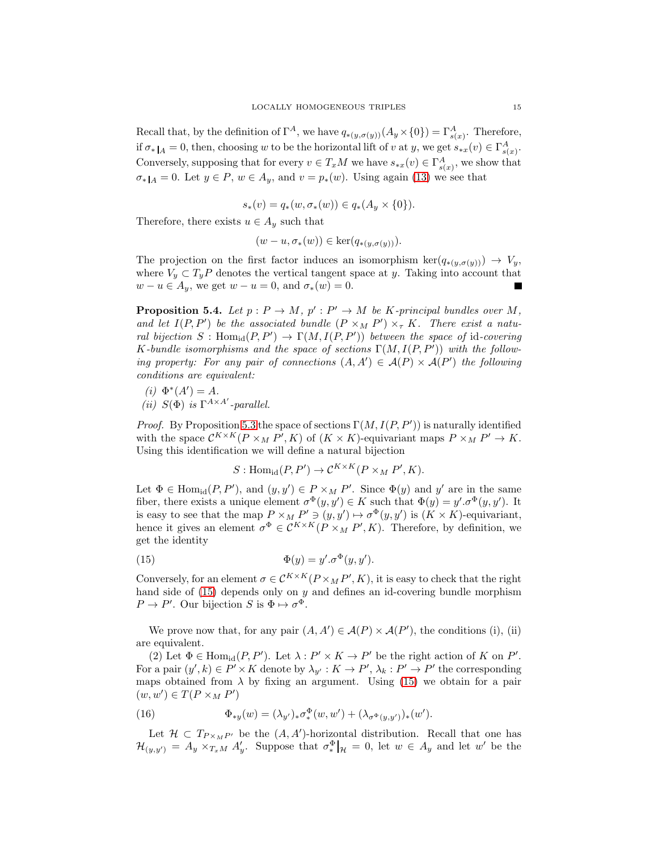Recall that, by the definition of  $\Gamma^A$ , we have  $q_{*(y,\sigma(y))}(A_y\times{0})=\Gamma^A_{s(x)}$ . Therefore, if  $\sigma_*|_A = 0$ , then, choosing w to be the horizontal lift of v at y, we get  $s_{*x}(v) \in \Gamma^A_{s(x)}$ . Conversely, supposing that for every  $v \in T_xM$  we have  $s_{*x}(v) \in \Gamma^A_{s(x)}$ , we show that  $\sigma_*|_A = 0$ . Let  $y \in P$ ,  $w \in A_y$ , and  $v = p_*(w)$ . Using again [\(13\)](#page-13-2) we see that

$$
s_*(v) = q_*(w, \sigma_*(w)) \in q_*(A_y \times \{0\}).
$$

Therefore, there exists  $u \in A_u$  such that

$$
(w - u, \sigma_*(w)) \in \ker(q_{*(y, \sigma(y))}).
$$

The projection on the first factor induces an isomorphism ker $(q_{*(y,\sigma(y))}) \to V_y$ , where  $V_y \,\subset T_yP$  denotes the vertical tangent space at y. Taking into account that  $w - u \in A_u$ , we get  $w - u = 0$ , and  $\sigma_*(w) = 0$ .

<span id="page-14-0"></span>**Proposition 5.4.** Let  $p: P \to M$ ,  $p': P' \to M$  be K-principal bundles over M, and let  $I(P, P')$  be the associated bundle  $(P \times_M P') \times_{\tau} K$ . There exist a natural bijection  $S: \text{Hom}_{\text{id}}(P, P') \to \Gamma(M, I(P, P'))$  between the space of id-covering K-bundle isomorphisms and the space of sections  $\Gamma(M, I(P, P'))$  with the following property: For any pair of connections  $(A, A') \in \mathcal{A}(P) \times \mathcal{A}(P')$  the following conditions are equivalent:

(*i*)  $\Phi^*(A') = A$ . (ii)  $S(\Phi)$  is  $\Gamma^{A \times A'}$ -parallel.

*Proof.* By Proposition [5.3](#page-13-3) the space of sections  $\Gamma(M, I(P, P'))$  is naturally identified with the space  $\mathcal{C}^{K\times K}(P\times_M P', K)$  of  $(K\times K)$ -equivariant maps  $P\times_M P'\to K$ . Using this identification we will define a natural bijection

<span id="page-14-1"></span>
$$
S: \text{Hom}_{\text{id}}(P, P') \to \mathcal{C}^{K \times K}(P \times_M P', K).
$$

Let  $\Phi \in \text{Hom}_{\text{id}}(P, P')$ , and  $(y, y') \in P \times_M P'$ . Since  $\Phi(y)$  and  $y'$  are in the same fiber, there exists a unique element  $\sigma^{\Phi}(y, y') \in K$  such that  $\Phi(y) = y'.\sigma^{\Phi}(y, y')$ . It is easy to see that the map  $P \times_M P' \ni (y, y') \mapsto \sigma^{\Phi}(y, y')$  is  $(K \times K)$ -equivariant, hence it gives an element  $\sigma^{\Phi} \in \mathcal{C}^{K \times K}(P \times_M P', K)$ . Therefore, by definition, we get the identity

(15) 
$$
\Phi(y) = y'.\sigma^{\Phi}(y, y').
$$

Conversely, for an element  $\sigma \in \mathcal{C}^{K \times K}(P \times_M P', K)$ , it is easy to check that the right hand side of  $(15)$  depends only on y and defines an id-covering bundle morphism  $P \to P'$ . Our bijection S is  $\Phi \mapsto \sigma^{\Phi}$ .

We prove now that, for any pair  $(A, A') \in \mathcal{A}(P) \times \mathcal{A}(P')$ , the conditions (i), (ii) are equivalent.

(2) Let  $\Phi \in \text{Hom}_{\text{id}}(P, P')$ . Let  $\lambda : P' \times K \to P'$  be the right action of K on P'. For a pair  $(y', k) \in P' \times K$  denote by  $\lambda_{y'} : K \to P', \lambda_k : P' \to P'$  the corresponding maps obtained from  $\lambda$  by fixing an argument. Using [\(15\)](#page-14-1) we obtain for a pair  $(w, w') \in T(P \times_M P')$ 

<span id="page-14-2"></span>(16) 
$$
\Phi_{*y}(w) = (\lambda_{y'})_* \sigma^{\Phi}_*(w, w') + (\lambda_{\sigma^{\Phi}(y, y')})_*(w').
$$

Let  $\mathcal{H} \subset T_{P \times_M P'}$  be the  $(A, A')$ -horizontal distribution. Recall that one has  $\mathcal{H}_{(y,y')} = A_y \times_{T_x M} A'_y$ . Suppose that  $\sigma_*^{\Phi}|_{\mathcal{H}} = 0$ , let  $w \in A_y$  and let w' be the